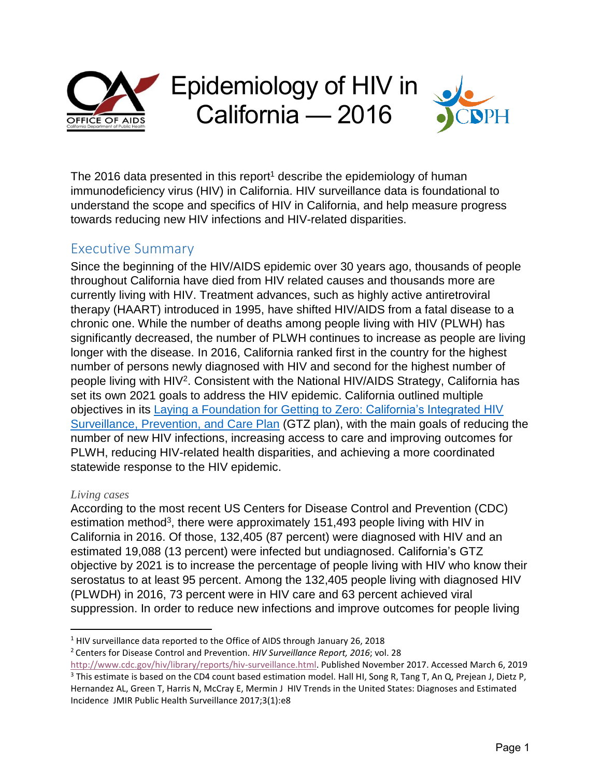

The 2016 data presented in this report<sup>1</sup> describe the epidemiology of human immunodeficiency virus (HIV) in California. HIV surveillance data is foundational to understand the scope and specifics of HIV in California, and help measure progress towards reducing new HIV infections and HIV-related disparities.

# Executive Summary

Since the beginning of the HIV/AIDS epidemic over 30 years ago, thousands of people throughout California have died from HIV related causes and thousands more are currently living with HIV. Treatment advances, such as highly active antiretroviral therapy (HAART) introduced in 1995, have shifted HIV/AIDS from a fatal disease to a chronic one. While the number of deaths among people living with HIV (PLWH) has significantly decreased, the number of PLWH continues to increase as people are living longer with the disease. In 2016, California ranked first in the country for the highest number of persons newly diagnosed with HIV and second for the highest number of people living with HIV<sup>2</sup>. Consistent with the National HIV/AIDS Strategy, California has set its own 2021 goals to address the HIV epidemic. California outlined multiple objectives in its Laying a Foundation [for Getting to Zero: California's Integrated HIV](https://www.cdph.ca.gov/Programs/CID/DOA/CDPH%20Document%20Library/IP_2016_Final.pdf)  [Surveillance, Prevention, and](https://www.cdph.ca.gov/Programs/CID/DOA/CDPH%20Document%20Library/IP_2016_Final.pdf) Care Plan (GTZ plan), with the main goals of reducing the number of new HIV infections, increasing access to care and improving outcomes for PLWH, reducing HIV-related health disparities, and achieving a more coordinated statewide response to the HIV epidemic.

#### *Living cases*

According to the most recent US Centers for Disease Control and Prevention (CDC) estimation method<sup>3</sup>, there were approximately 151,493 people living with HIV in California in 2016. Of those, 132,405 (87 percent) were diagnosed with HIV and an estimated 19,088 (13 percent) were infected but undiagnosed. California's GTZ objective by 2021 is to increase the percentage of people living with HIV who know their serostatus to at least 95 percent. Among the 132,405 people living with diagnosed HIV (PLWDH) in 2016, 73 percent were in HIV care and 63 percent achieved viral suppression. In order to reduce new infections and improve outcomes for people living

l <sup>1</sup> HIV surveillance data reported to the Office of AIDS through January 26, 2018

<sup>2</sup> Centers for Disease Control and Prevention. *HIV Surveillance Report, 2016*; vol. 28

[http://www.cdc.gov/hiv/library/reports/hiv-surveillance.html.](http://www.cdc.gov/hiv/library/reports/hiv-surveillance.html) Published November 2017. Accessed March 6, 2019 <sup>3</sup> This estimate is based on the CD4 count based estimation model. Hall HI, Song R, Tang T, An Q, Prejean J, Dietz P, Hernandez AL, Green T, Harris N, McCray E, Mermin J HIV Trends in the United States: Diagnoses and Estimated Incidence JMIR Public Health Surveillance 2017;3(1):e8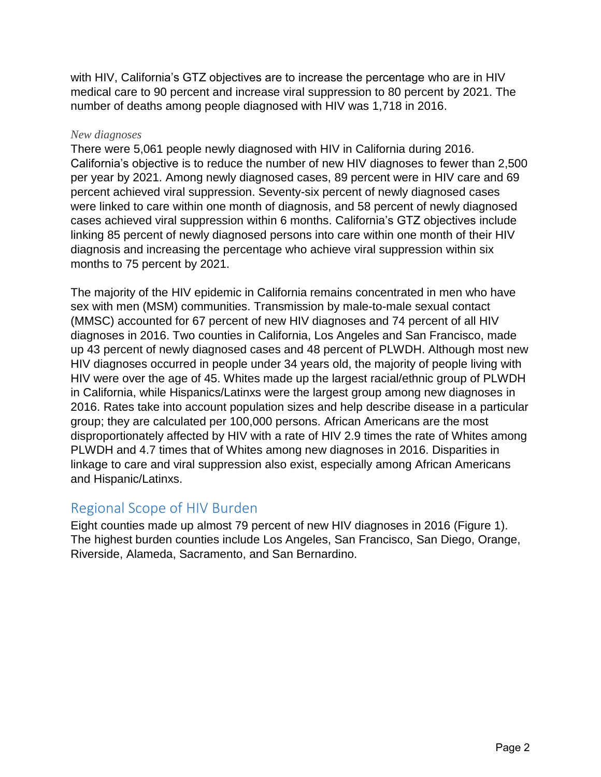with HIV, California's GTZ objectives are to increase the percentage who are in HIV medical care to 90 percent and increase viral suppression to 80 percent by 2021. The number of deaths among people diagnosed with HIV was 1,718 in 2016.

#### *New diagnoses*

There were 5,061 people newly diagnosed with HIV in California during 2016. California's objective is to reduce the number of new HIV diagnoses to fewer than 2,500 per year by 2021. Among newly diagnosed cases, 89 percent were in HIV care and 69 percent achieved viral suppression. Seventy-six percent of newly diagnosed cases were linked to care within one month of diagnosis, and 58 percent of newly diagnosed cases achieved viral suppression within 6 months. California's GTZ objectives include linking 85 percent of newly diagnosed persons into care within one month of their HIV diagnosis and increasing the percentage who achieve viral suppression within six months to 75 percent by 2021.

The majority of the HIV epidemic in California remains concentrated in men who have sex with men (MSM) communities. Transmission by male-to-male sexual contact (MMSC) accounted for 67 percent of new HIV diagnoses and 74 percent of all HIV diagnoses in 2016. Two counties in California, Los Angeles and San Francisco, made up 43 percent of newly diagnosed cases and 48 percent of PLWDH. Although most new HIV diagnoses occurred in people under 34 years old, the majority of people living with HIV were over the age of 45. Whites made up the largest racial/ethnic group of PLWDH in California, while Hispanics/Latinxs were the largest group among new diagnoses in 2016. Rates take into account population sizes and help describe disease in a particular group; they are calculated per 100,000 persons. African Americans are the most disproportionately affected by HIV with a rate of HIV 2.9 times the rate of Whites among PLWDH and 4.7 times that of Whites among new diagnoses in 2016. Disparities in linkage to care and viral suppression also exist, especially among African Americans and Hispanic/Latinxs.

# Regional Scope of HIV Burden

Eight counties made up almost 79 percent of new HIV diagnoses in 2016 (Figure 1). The highest burden counties include Los Angeles, San Francisco, San Diego, Orange, Riverside, Alameda, Sacramento, and San Bernardino.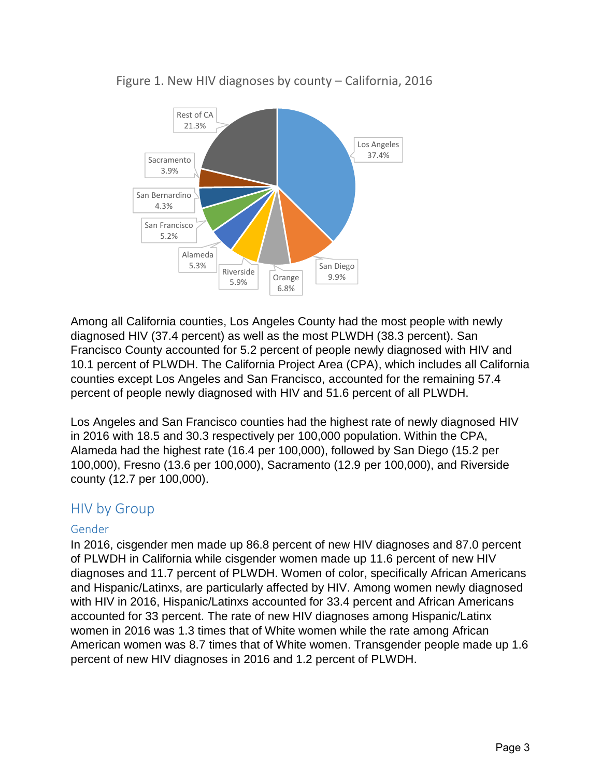

### Figure 1. New HIV diagnoses by county – California, 2016

Among all California counties, Los Angeles County had the most people with newly diagnosed HIV (37.4 percent) as well as the most PLWDH (38.3 percent). San Francisco County accounted for 5.2 percent of people newly diagnosed with HIV and 10.1 percent of PLWDH. The California Project Area (CPA), which includes all California counties except Los Angeles and San Francisco, accounted for the remaining 57.4 percent of people newly diagnosed with HIV and 51.6 percent of all PLWDH.

Los Angeles and San Francisco counties had the highest rate of newly diagnosed HIV in 2016 with 18.5 and 30.3 respectively per 100,000 population. Within the CPA, Alameda had the highest rate (16.4 per 100,000), followed by San Diego (15.2 per 100,000), Fresno (13.6 per 100,000), Sacramento (12.9 per 100,000), and Riverside county (12.7 per 100,000).

### HIV by Group

### Gender

In 2016, cisgender men made up 86.8 percent of new HIV diagnoses and 87.0 percent of PLWDH in California while cisgender women made up 11.6 percent of new HIV diagnoses and 11.7 percent of PLWDH. Women of color, specifically African Americans and Hispanic/Latinxs, are particularly affected by HIV. Among women newly diagnosed with HIV in 2016, Hispanic/Latinxs accounted for 33.4 percent and African Americans accounted for 33 percent. The rate of new HIV diagnoses among Hispanic/Latinx women in 2016 was 1.3 times that of White women while the rate among African American women was 8.7 times that of White women. Transgender people made up 1.6 percent of new HIV diagnoses in 2016 and 1.2 percent of PLWDH.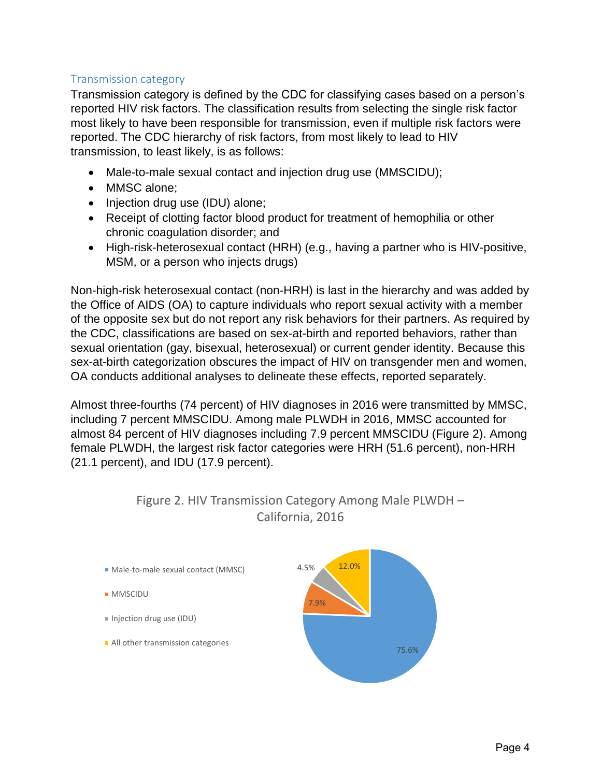### Transmission category

Transmission category is defined by the CDC for classifying cases based on a person's reported HIV risk factors. The classification results from selecting the single risk factor most likely to have been responsible for transmission, even if multiple risk factors were reported. The CDC hierarchy of risk factors, from most likely to lead to HIV transmission, to least likely, is as follows:

- Male-to-male sexual contact and injection drug use (MMSCIDU);
- MMSC alone;
- Injection drug use (IDU) alone;
- Receipt of clotting factor blood product for treatment of hemophilia or other chronic coagulation disorder; and
- High-risk-heterosexual contact (HRH) (e.g., having a partner who is HIV-positive, MSM, or a person who injects drugs)

Non-high-risk heterosexual contact (non-HRH) is last in the hierarchy and was added by the Office of AIDS (OA) to capture individuals who report sexual activity with a member of the opposite sex but do not report any risk behaviors for their partners. As required by the CDC, classifications are based on sex-at-birth and reported behaviors, rather than sexual orientation (gay, bisexual, heterosexual) or current gender identity. Because this sex-at-birth categorization obscures the impact of HIV on transgender men and women, OA conducts additional analyses to delineate these effects, reported separately.

Almost three-fourths (74 percent) of HIV diagnoses in 2016 were transmitted by MMSC, including 7 percent MMSCIDU. Among male PLWDH in 2016, MMSC accounted for almost 84 percent of HIV diagnoses including 7.9 percent MMSCIDU (Figure 2). Among female PLWDH, the largest risk factor categories were HRH (51.6 percent), non-HRH (21.1 percent), and IDU (17.9 percent).



### Figure 2. HIV Transmission Category Among Male PLWDH – California, 2016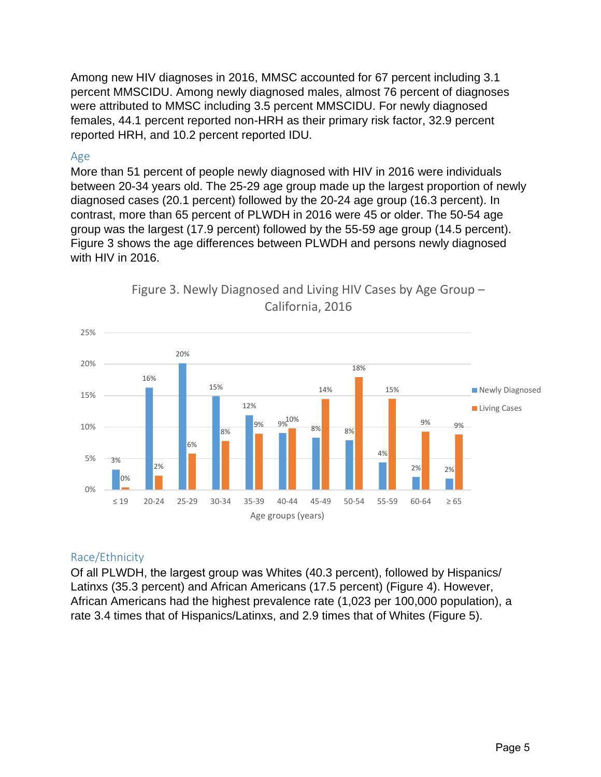Among new HIV diagnoses in 2016, MMSC accounted for 67 percent including 3.1 percent MMSCIDU. Among newly diagnosed males, almost 76 percent of diagnoses were attributed to MMSC including 3.5 percent MMSCIDU. For newly diagnosed females, 44.1 percent reported non-HRH as their primary risk factor, 32.9 percent reported HRH, and 10.2 percent reported IDU.

#### Age

More than 51 percent of people newly diagnosed with HIV in 2016 were individuals between 20-34 years old. The 25-29 age group made up the largest proportion of newly diagnosed cases (20.1 percent) followed by the 20-24 age group (16.3 percent). In contrast, more than 65 percent of PLWDH in 2016 were 45 or older. The 50-54 age group was the largest (17.9 percent) followed by the 55-59 age group (14.5 percent). Figure 3 shows the age differences between PLWDH and persons newly diagnosed with HIV in 2016.





### Race/Ethnicity

Of all PLWDH, the largest group was Whites (40.3 percent), followed by Hispanics/ Latinxs (35.3 percent) and African Americans (17.5 percent) (Figure 4). However, African Americans had the highest prevalence rate (1,023 per 100,000 population), a rate 3.4 times that of Hispanics/Latinxs, and 2.9 times that of Whites (Figure 5).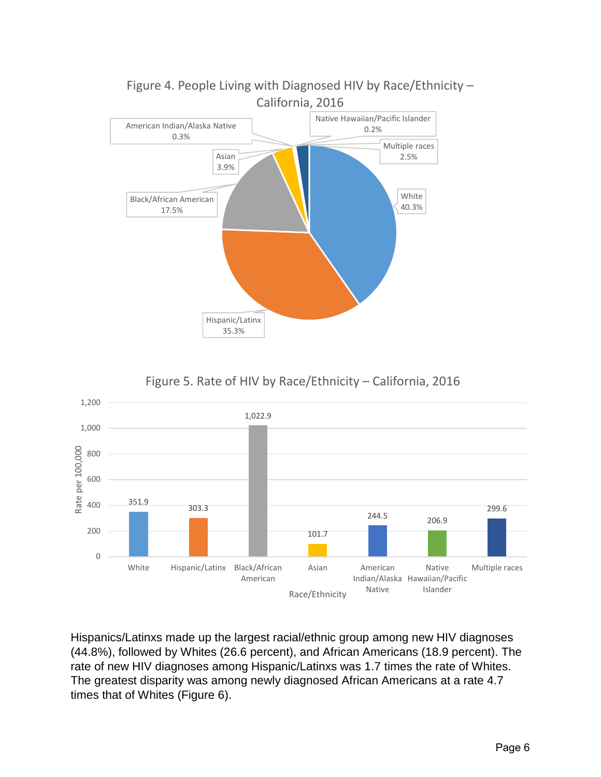

Figure 4. People Living with Diagnosed HIV by Race/Ethnicity –





Hispanics/Latinxs made up the largest racial/ethnic group among new HIV diagnoses (44.8%), followed by Whites (26.6 percent), and African Americans (18.9 percent). The rate of new HIV diagnoses among Hispanic/Latinxs was 1.7 times the rate of Whites. The greatest disparity was among newly diagnosed African Americans at a rate 4.7 times that of Whites (Figure 6).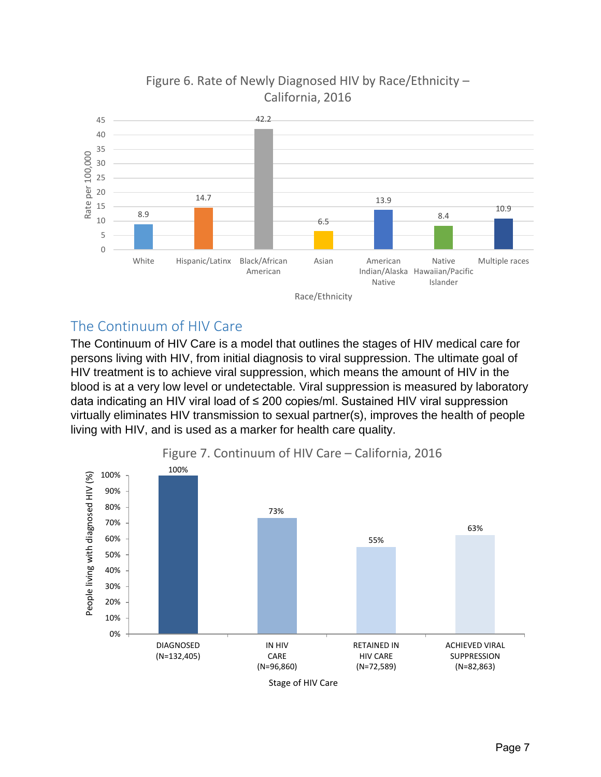

# Figure 6. Rate of Newly Diagnosed HIV by Race/Ethnicity – California, 2016

# The Continuum of HIV Care

The Continuum of HIV Care is a model that outlines the stages of HIV medical care for persons living with HIV, from initial diagnosis to viral suppression. The ultimate goal of HIV treatment is to achieve viral suppression, which means the amount of HIV in the blood is at a very low level or undetectable. Viral suppression is measured by laboratory data indicating an HIV viral load of ≤ 200 copies/ml. Sustained HIV viral suppression virtually eliminates HIV transmission to sexual partner(s), improves the health of people living with HIV, and is used as a marker for health care quality.

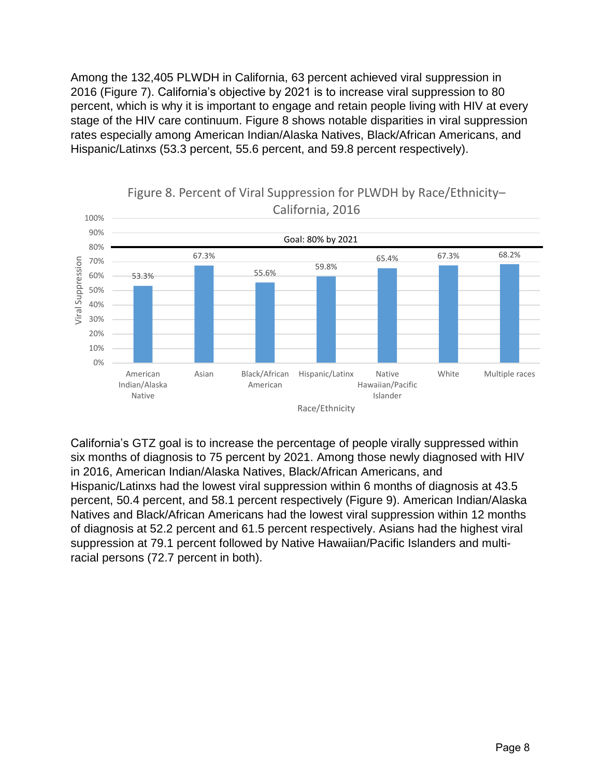Among the 132,405 PLWDH in California, 63 percent achieved viral suppression in 2016 (Figure 7). California's objective by 2021 is to increase viral suppression to 80 percent, which is why it is important to engage and retain people living with HIV at every stage of the HIV care continuum. Figure 8 shows notable disparities in viral suppression rates especially among American Indian/Alaska Natives, Black/African Americans, and Hispanic/Latinxs (53.3 percent, 55.6 percent, and 59.8 percent respectively).



Figure 8. Percent of Viral Suppression for PLWDH by Race/Ethnicity–

California's GTZ goal is to increase the percentage of people virally suppressed within six months of diagnosis to 75 percent by 2021. Among those newly diagnosed with HIV in 2016, American Indian/Alaska Natives, Black/African Americans, and Hispanic/Latinxs had the lowest viral suppression within 6 months of diagnosis at 43.5 percent, 50.4 percent, and 58.1 percent respectively (Figure 9). American Indian/Alaska Natives and Black/African Americans had the lowest viral suppression within 12 months of diagnosis at 52.2 percent and 61.5 percent respectively. Asians had the highest viral suppression at 79.1 percent followed by Native Hawaiian/Pacific Islanders and multiracial persons (72.7 percent in both).